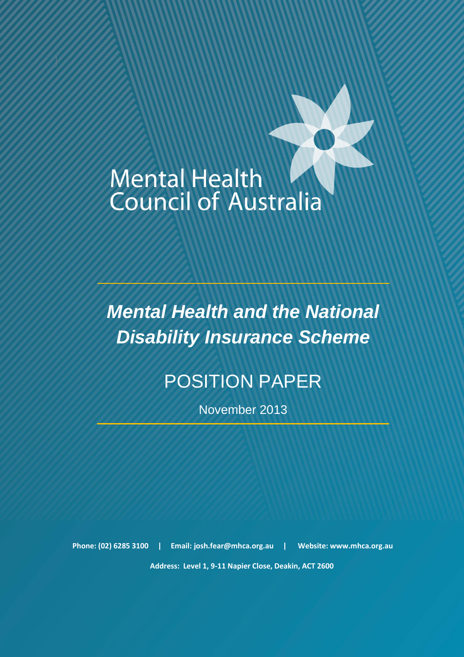# **Mental Health Council of Australia**

National Disability Insurance Scheme – Position Paper November 2013

*Mental Health and the National Disability Insurance Scheme*

# POSITION PAPER

November 2013

**Phone: (02) 6285 3100 | Email[: josh.fear@mhca.org.au](mailto:josh.fear@mhca.org.au) | Website: www.mhca.org.au**

 **Address: Level 1, 9-11 Napier Close, Deakin, ACT 2600**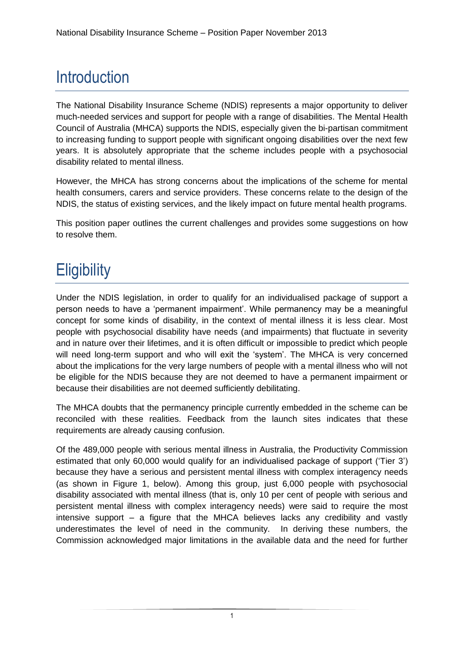# **Introduction**

The National Disability Insurance Scheme (NDIS) represents a major opportunity to deliver much-needed services and support for people with a range of disabilities. The Mental Health Council of Australia (MHCA) supports the NDIS, especially given the bi-partisan commitment to increasing funding to support people with significant ongoing disabilities over the next few years. It is absolutely appropriate that the scheme includes people with a psychosocial disability related to mental illness.

However, the MHCA has strong concerns about the implications of the scheme for mental health consumers, carers and service providers. These concerns relate to the design of the NDIS, the status of existing services, and the likely impact on future mental health programs.

This position paper outlines the current challenges and provides some suggestions on how to resolve them.

## **Eligibility**

Under the NDIS legislation, in order to qualify for an individualised package of support a person needs to have a 'permanent impairment'. While permanency may be a meaningful concept for some kinds of disability, in the context of mental illness it is less clear. Most people with psychosocial disability have needs (and impairments) that fluctuate in severity and in nature over their lifetimes, and it is often difficult or impossible to predict which people will need long-term support and who will exit the 'system'. The MHCA is very concerned about the implications for the very large numbers of people with a mental illness who will not be eligible for the NDIS because they are not deemed to have a permanent impairment or because their disabilities are not deemed sufficiently debilitating.

The MHCA doubts that the permanency principle currently embedded in the scheme can be reconciled with these realities. Feedback from the launch sites indicates that these requirements are already causing confusion.

Of the 489,000 people with serious mental illness in Australia, the Productivity Commission estimated that only 60,000 would qualify for an individualised package of support ('Tier 3') because they have a serious and persistent mental illness with complex interagency needs (as shown in Figure 1, below). Among this group, just 6,000 people with psychosocial disability associated with mental illness (that is, only 10 per cent of people with serious and persistent mental illness with complex interagency needs) were said to require the most intensive support – a figure that the MHCA believes lacks any credibility and vastly underestimates the level of need in the community. In deriving these numbers, the Commission acknowledged major limitations in the available data and the need for further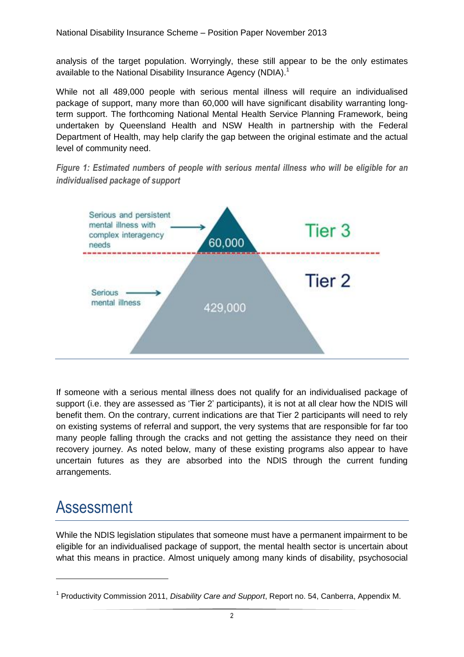analysis of the target population. Worryingly, these still appear to be the only estimates available to the National Disability Insurance Agency (NDIA).<sup>1</sup>

While not all 489,000 people with serious mental illness will require an individualised package of support, many more than 60,000 will have significant disability warranting longterm support. The forthcoming National Mental Health Service Planning Framework, being undertaken by Queensland Health and NSW Health in partnership with the Federal Department of Health, may help clarify the gap between the original estimate and the actual level of community need.

*Figure 1: Estimated numbers of people with serious mental illness who will be eligible for an individualised package of support*



If someone with a serious mental illness does not qualify for an individualised package of support (i.e. they are assessed as 'Tier 2' participants), it is not at all clear how the NDIS will benefit them. On the contrary, current indications are that Tier 2 participants will need to rely on existing systems of referral and support, the very systems that are responsible for far too many people falling through the cracks and not getting the assistance they need on their recovery journey. As noted below, many of these existing programs also appear to have uncertain futures as they are absorbed into the NDIS through the current funding arrangements.

### Assessment

-

While the NDIS legislation stipulates that someone must have a permanent impairment to be eligible for an individualised package of support, the mental health sector is uncertain about what this means in practice. Almost uniquely among many kinds of disability, psychosocial

<sup>1</sup> Productivity Commission 2011, *Disability Care and Support*, Report no. 54, Canberra, Appendix M.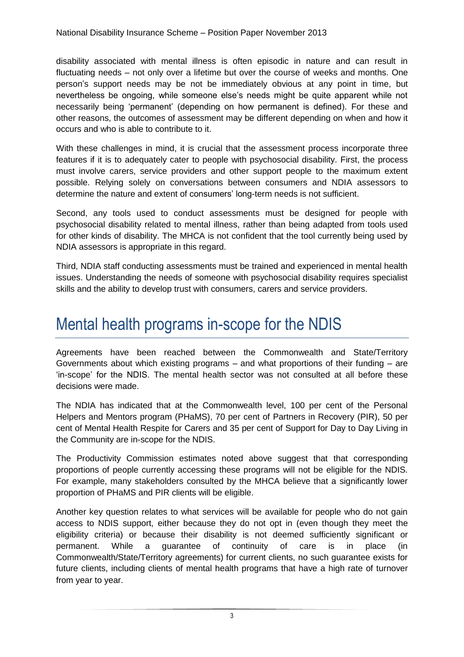disability associated with mental illness is often episodic in nature and can result in fluctuating needs – not only over a lifetime but over the course of weeks and months. One person's support needs may be not be immediately obvious at any point in time, but nevertheless be ongoing, while someone else's needs might be quite apparent while not necessarily being 'permanent' (depending on how permanent is defined). For these and other reasons, the outcomes of assessment may be different depending on when and how it occurs and who is able to contribute to it.

With these challenges in mind, it is crucial that the assessment process incorporate three features if it is to adequately cater to people with psychosocial disability. First, the process must involve carers, service providers and other support people to the maximum extent possible. Relying solely on conversations between consumers and NDIA assessors to determine the nature and extent of consumers' long-term needs is not sufficient.

Second, any tools used to conduct assessments must be designed for people with psychosocial disability related to mental illness, rather than being adapted from tools used for other kinds of disability. The MHCA is not confident that the tool currently being used by NDIA assessors is appropriate in this regard.

Third, NDIA staff conducting assessments must be trained and experienced in mental health issues. Understanding the needs of someone with psychosocial disability requires specialist skills and the ability to develop trust with consumers, carers and service providers.

#### Mental health programs in-scope for the NDIS

Agreements have been reached between the Commonwealth and State/Territory Governments about which existing programs – and what proportions of their funding – are 'in-scope' for the NDIS. The mental health sector was not consulted at all before these decisions were made.

The NDIA has indicated that at the Commonwealth level, 100 per cent of the Personal Helpers and Mentors program (PHaMS), 70 per cent of Partners in Recovery (PIR), 50 per cent of Mental Health Respite for Carers and 35 per cent of Support for Day to Day Living in the Community are in-scope for the NDIS.

The Productivity Commission estimates noted above suggest that that corresponding proportions of people currently accessing these programs will not be eligible for the NDIS. For example, many stakeholders consulted by the MHCA believe that a significantly lower proportion of PHaMS and PIR clients will be eligible.

Another key question relates to what services will be available for people who do not gain access to NDIS support, either because they do not opt in (even though they meet the eligibility criteria) or because their disability is not deemed sufficiently significant or permanent. While a guarantee of continuity of care is in place (in Commonwealth/State/Territory agreements) for current clients, no such guarantee exists for future clients, including clients of mental health programs that have a high rate of turnover from year to year.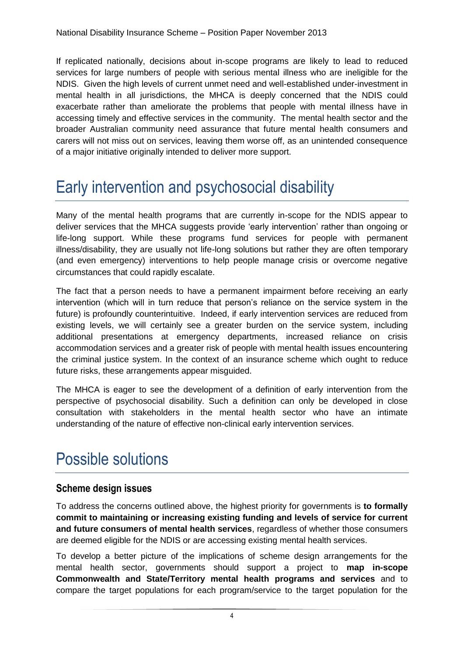If replicated nationally, decisions about in-scope programs are likely to lead to reduced services for large numbers of people with serious mental illness who are ineligible for the NDIS. Given the high levels of current unmet need and well-established under-investment in mental health in all jurisdictions, the MHCA is deeply concerned that the NDIS could exacerbate rather than ameliorate the problems that people with mental illness have in accessing timely and effective services in the community. The mental health sector and the broader Australian community need assurance that future mental health consumers and carers will not miss out on services, leaving them worse off, as an unintended consequence of a major initiative originally intended to deliver more support.

### Early intervention and psychosocial disability

Many of the mental health programs that are currently in-scope for the NDIS appear to deliver services that the MHCA suggests provide 'early intervention' rather than ongoing or life-long support. While these programs fund services for people with permanent illness/disability, they are usually not life-long solutions but rather they are often temporary (and even emergency) interventions to help people manage crisis or overcome negative circumstances that could rapidly escalate.

The fact that a person needs to have a permanent impairment before receiving an early intervention (which will in turn reduce that person's reliance on the service system in the future) is profoundly counterintuitive. Indeed, if early intervention services are reduced from existing levels, we will certainly see a greater burden on the service system, including additional presentations at emergency departments, increased reliance on crisis accommodation services and a greater risk of people with mental health issues encountering the criminal justice system. In the context of an insurance scheme which ought to reduce future risks, these arrangements appear misguided.

The MHCA is eager to see the development of a definition of early intervention from the perspective of psychosocial disability. Such a definition can only be developed in close consultation with stakeholders in the mental health sector who have an intimate understanding of the nature of effective non-clinical early intervention services.

### Possible solutions

#### **Scheme design issues**

To address the concerns outlined above, the highest priority for governments is **to formally commit to maintaining or increasing existing funding and levels of service for current and future consumers of mental health services**, regardless of whether those consumers are deemed eligible for the NDIS or are accessing existing mental health services.

To develop a better picture of the implications of scheme design arrangements for the mental health sector, governments should support a project to **map in-scope Commonwealth and State/Territory mental health programs and services** and to compare the target populations for each program/service to the target population for the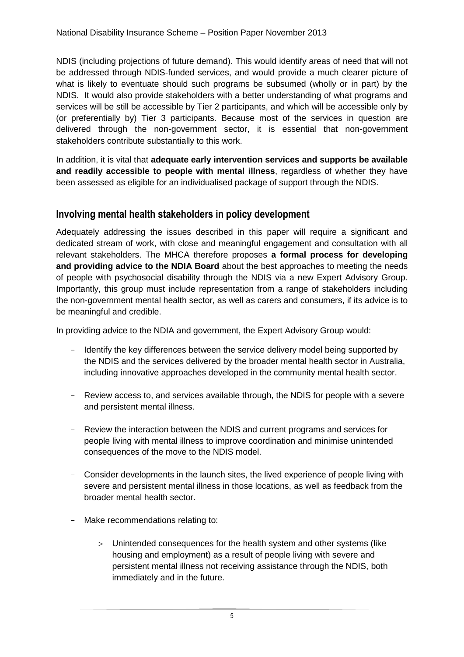NDIS (including projections of future demand). This would identify areas of need that will not be addressed through NDIS-funded services, and would provide a much clearer picture of what is likely to eventuate should such programs be subsumed (wholly or in part) by the NDIS. It would also provide stakeholders with a better understanding of what programs and services will be still be accessible by Tier 2 participants, and which will be accessible only by (or preferentially by) Tier 3 participants. Because most of the services in question are delivered through the non-government sector, it is essential that non-government stakeholders contribute substantially to this work.

In addition, it is vital that **adequate early intervention services and supports be available and readily accessible to people with mental illness**, regardless of whether they have been assessed as eligible for an individualised package of support through the NDIS.

#### **Involving mental health stakeholders in policy development**

Adequately addressing the issues described in this paper will require a significant and dedicated stream of work, with close and meaningful engagement and consultation with all relevant stakeholders. The MHCA therefore proposes **a formal process for developing and providing advice to the NDIA Board** about the best approaches to meeting the needs of people with psychosocial disability through the NDIS via a new Expert Advisory Group. Importantly, this group must include representation from a range of stakeholders including the non-government mental health sector, as well as carers and consumers, if its advice is to be meaningful and credible.

In providing advice to the NDIA and government, the Expert Advisory Group would:

- Identify the key differences between the service delivery model being supported by the NDIS and the services delivered by the broader mental health sector in Australia, including innovative approaches developed in the community mental health sector.
- Review access to, and services available through, the NDIS for people with a severe and persistent mental illness.
- Review the interaction between the NDIS and current programs and services for people living with mental illness to improve coordination and minimise unintended consequences of the move to the NDIS model.
- Consider developments in the launch sites, the lived experience of people living with severe and persistent mental illness in those locations, as well as feedback from the broader mental health sector.
- Make recommendations relating to:
	- Unintended consequences for the health system and other systems (like housing and employment) as a result of people living with severe and persistent mental illness not receiving assistance through the NDIS, both immediately and in the future.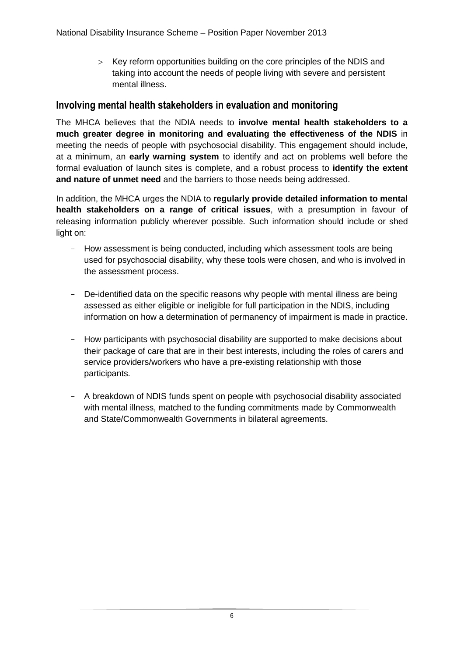Key reform opportunities building on the core principles of the NDIS and taking into account the needs of people living with severe and persistent mental illness.

#### **Involving mental health stakeholders in evaluation and monitoring**

The MHCA believes that the NDIA needs to **involve mental health stakeholders to a much greater degree in monitoring and evaluating the effectiveness of the NDIS** in meeting the needs of people with psychosocial disability. This engagement should include, at a minimum, an **early warning system** to identify and act on problems well before the formal evaluation of launch sites is complete, and a robust process to **identify the extent and nature of unmet need** and the barriers to those needs being addressed.

In addition, the MHCA urges the NDIA to **regularly provide detailed information to mental health stakeholders on a range of critical issues**, with a presumption in favour of releasing information publicly wherever possible. Such information should include or shed light on:

- How assessment is being conducted, including which assessment tools are being used for psychosocial disability, why these tools were chosen, and who is involved in the assessment process.
- De-identified data on the specific reasons why people with mental illness are being assessed as either eligible or ineligible for full participation in the NDIS, including information on how a determination of permanency of impairment is made in practice.
- How participants with psychosocial disability are supported to make decisions about their package of care that are in their best interests, including the roles of carers and service providers/workers who have a pre-existing relationship with those participants.
- A breakdown of NDIS funds spent on people with psychosocial disability associated with mental illness, matched to the funding commitments made by Commonwealth and State/Commonwealth Governments in bilateral agreements.